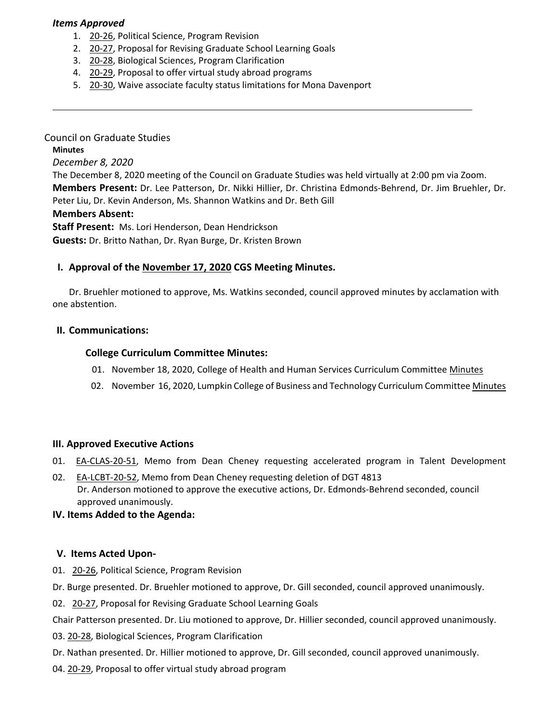### *Items Approved*

- 1. 20‐[26,](https://castle.eiu.edu/eiucgs/currentagendaitems/agenda20-26.pdf) Political Science, Program Revision
- 2. 20‐[27,](https://castle.eiu.edu/eiucgs/currentagendaitems/agenda20-27.pdf) Proposal for Revising Graduate School Learning Goals
- 3. 20‐[28,](https://castle.eiu.edu/eiucgs/currentagendaitems/agenda20-28.pdf) Biological Sciences, Program Clarification
- 4. 20‐[29,](https://castle.eiu.edu/eiucgs/currentagendaitems/agenda20-29.pdf) Proposal to offer virtual study abroad programs
- 5. 20-[30,](https://castle.eiu.edu/eiucgs/currentagendaitems/agenda20-30.pdf) Waive associate faculty status limitations for Mona Davenport

Council on Graduate Studies **Minutes** *December 8, 2020* The December 8, 2020 meeting of the Council on Graduate Studies was held virtually at 2:00 pm via Zoom. **Members Present:** Dr. Lee Patterson, Dr. Nikki Hillier, Dr. Christina Edmonds‐Behrend, Dr. Jim Bruehler, Dr. Peter Liu, Dr. Kevin Anderson, Ms. Shannon Watkins and Dr. Beth Gill **Members Absent: Staff Present:** Ms. Lori Henderson, Dean Hendrickson **Guests:** Dr. Britto Nathan, Dr. Ryan Burge, Dr. Kristen Brown

### **I. Approval of the [November](https://castle.eiu.edu/~eiucgs/currentminutes/Minutes11-17-20.pdf) 17, 2020 CGS Meeting Minutes.**

Dr. Bruehler motioned to approve, Ms. Watkins seconded, council approved minutes by acclamation with one abstention.

#### **II. Communications:**

### **College Curriculum Committee Minutes:**

- 01. November 18, 2020, College of Health and Human Services Curriculum Committee [Minutes](https://www.eiu.edu/chhs/curriculum.php)
- 02. November 16, 2020, Lumpkin College of Business and Technology Curriculum Committee [Minutes](https://www.eiu.edu/lumpkin/curriculum/lcbatcurrmin20201116.pdf)

#### **III. Approved Executive Actions**

- 01. **EA-[CLAS](https://castle.eiu.edu/eiucgs/exec-actions/EA-LCBT-20-51.pdf)-20-51**, Memo from Dean Cheney requesting accelerated program in Talent Development
- 02. EA-[LCBT](https://castle.eiu.edu/eiucgs/exec-actions/EA-LCBT-20-52.pdf)-20-52, Memo from Dean Cheney requesting deletion of DGT 4813 Dr. Anderson motioned to approve the executive actions, Dr. Edmonds‐Behrend seconded, council approved unanimously.

#### **IV. Items Added to the Agenda:**

#### **V. Items Acted Upon‐**

- 01. 20‐[26,](https://castle.eiu.edu/eiucgs/currentagendaitems/agenda20-26.pdf) Political Science, Program Revision
- Dr. Burge presented. Dr. Bruehler motioned to approve, Dr. Gill seconded, council approved unanimously.
- 02. 20‐[27,](https://castle.eiu.edu/eiucgs/currentagendaitems/agenda20-27.pdf) Proposal for Revising Graduate School Learning Goals

Chair Patterson presented. Dr. Liu motioned to approve, Dr. Hillier seconded, council approved unanimously.

- 03. 20‐[28,](https://castle.eiu.edu/eiucgs/currentagendaitems/agenda20-28.pdf) Biological Sciences, Program Clarification
- Dr. Nathan presented. Dr. Hillier motioned to approve, Dr. Gill seconded, council approved unanimously.
- 04. 20‐[29,](https://castle.eiu.edu/eiucgs/currentagendaitems/agenda20-29.pdf) Proposal to offer virtual study abroad program